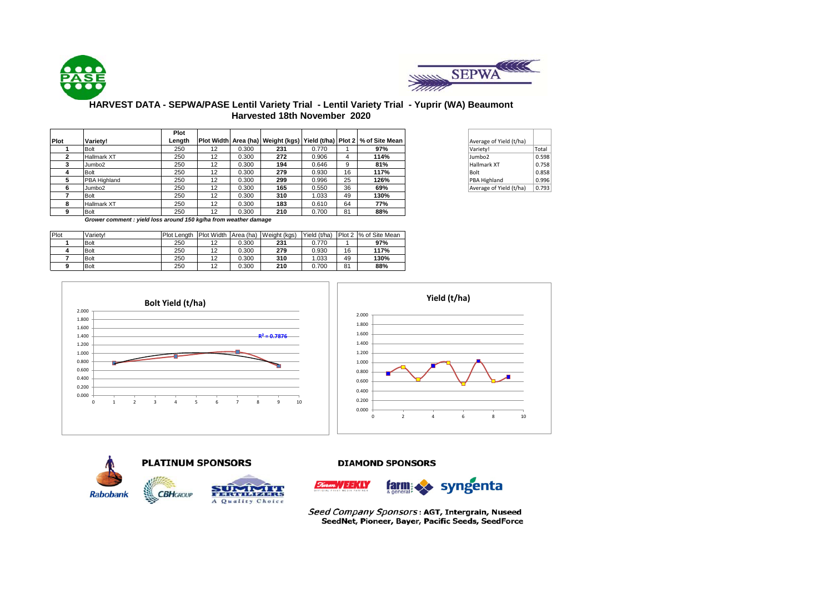



## **HARVEST DATA - SEPWA/PASE Lentil Variety Trial - Lentil Variety Trial - Yuprir (WA) Beaumont Harvested 18th November 2020**

|      |                    | Plot   |    |       |     |       |    |                                                                                |                         |  |
|------|--------------------|--------|----|-------|-----|-------|----|--------------------------------------------------------------------------------|-------------------------|--|
| Plot | Variety!           | Length |    |       |     |       |    | Plot Width   Area (ha)   Weight (kgs)   Yield (t/ha)   Plot 2   % of Site Mean | Average of Yield (t/ha) |  |
|      | Bolt               | 250    | 12 | 0.300 | 231 | 0.770 |    | 97%                                                                            | Variety!                |  |
|      | <b>Hallmark XT</b> | 250    | 12 | 0.300 | 272 | 0.906 | 4  | 114%                                                                           | Jumbo2                  |  |
| 3    | Jumbo <sub>2</sub> | 250    | 12 | 0.300 | 194 | 0.646 | 9  | 81%                                                                            | <b>Hallmark XT</b>      |  |
|      | Bolt               | 250    | 12 | 0.300 | 279 | 0.930 | 16 | 117%                                                                           | Bolt                    |  |
| 5    | PBA Highland       | 250    | 12 | 0.300 | 299 | 0.996 | 25 | 126%                                                                           | PBA Highland            |  |
| 6    | Jumbo <sub>2</sub> | 250    | 12 | 0.300 | 165 | 0.550 | 36 | 69%                                                                            | Average of Yield (t/ha) |  |
|      | Bolt               | 250    | 12 | 0.300 | 310 | .033  | 49 | 130%                                                                           |                         |  |
| 8    | <b>Hallmark XT</b> | 250    | 12 | 0.300 | 183 | 0.610 | 64 | 77%                                                                            |                         |  |
| 9    | Bolt               | 250    | 12 | 0.300 | 210 | 0.700 | 81 | 88%                                                                            |                         |  |

| Average of Yield (t/ha) |       |
|-------------------------|-------|
| Variety!                | Total |
| Jumbo <sub>2</sub>      | 0.598 |
| Hallmark XT             | 0.758 |
| Bolt                    | 0.858 |
| PBA Highland            | 0.996 |
| Average of Yield (t/ha) | 0.793 |

*Grower comment : yield loss around 150 kg/ha from weather damage*

| <b>Plot</b> | Variety!    | <b>Plot Lenath</b> | <b>Plot Width</b> | Area (ha) | Weight (kgs) | Yield (t/ha) |    | Plot 2 % of Site Mean |
|-------------|-------------|--------------------|-------------------|-----------|--------------|--------------|----|-----------------------|
|             | <b>Bolt</b> | 250                | 12<br>$-$         | 0.300     | 231          | 0.770        |    | 97%                   |
|             | <b>Bolt</b> | 250                | 10<br>$-$         | 0.300     | 279          | 0.930        | 16 | 117%                  |
|             | <b>Bolt</b> | 250                | 10<br>ı           | 0.300     | 310          | 1.033        | 49 | 130%                  |
|             | <b>Bolt</b> | 250                | $\sim$<br>ı       | 0.300     | 210          | 0.700        | 81 | 88%                   |









#### **DIAMOND SPONSORS**



Seed Company Sponsors: AGT, Intergrain, Nuseed SeedNet, Pioneer, Bayer, Pacific Seeds, SeedForce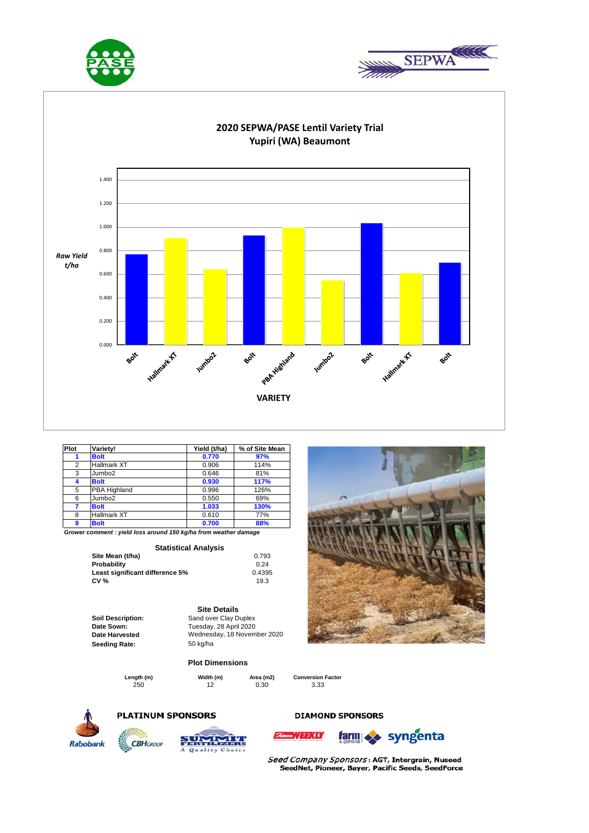





| Plot           | Variety!           | Yield (t/ha) | % of Site Mean |
|----------------|--------------------|--------------|----------------|
|                | <b>Bolt</b>        | 0.770        | 97%            |
| $\overline{2}$ | Hallmark XT        | 0.906        | 114%           |
| 3              | Jumbo <sub>2</sub> | 0.646        | 81%            |
| 4              | <b>Bolt</b>        | 0.930        | 117%           |
| 5              | PBA Highland       | 0.996        | 126%           |
| 6              | Jumbo <sub>2</sub> | 0.550        | 69%            |
|                | <b>Bolt</b>        | 1.033        | 130%           |
| 8              | Hallmark XT        | 0.610        | 77%            |
| 9              | <b>Bolt</b>        | 0.700        | 88%            |

*Grower comment : yield loss around 150 kg/ha from weather damage*

#### **Statistical Analysis**

| Site Mean (t/ha)                | 0.793  |
|---------------------------------|--------|
| Probability                     | 0.24   |
| Least significant difference 5% | 0.4395 |
| CV %                            | 19.3   |

Soil Description: **Sand over Clay Duplex Date Sown: Date Harvested**  Seeding Rate: 50 kg/ha

## Tuesday, 28 April 2020 Wednesday, 18 November 2020

**Plot Dimensions**

**Site Details**

250 12 0.30 3.33 **Length (m) Width (m) Area (m2) Conversion Factor**

**Least significant difference 5%** 0.4395



# **PLATINUM SPONSORS**



Quality C

#### **DIAMOND SPONSORS**



Seed Company Sponsors: AGT, Intergrain, Nuseed SeedNet, Pioneer, Bayer, Pacific Seeds, SeedForce